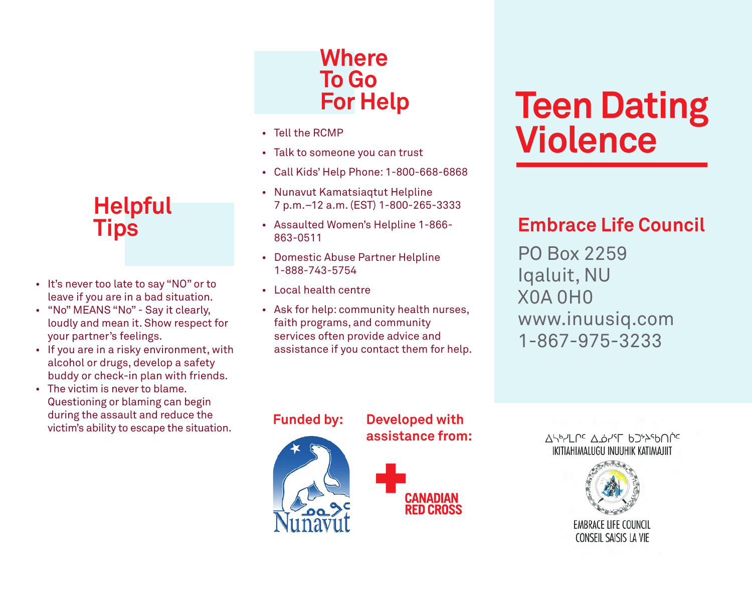

- • It's never too late to say "NO" or to leave if you are in a bad situation.
- "No" MEANS "No" Say it clearly, loudly and mean it. Show respect for your partner's feelings.
- If you are in a risky environment, with alcohol or drugs, develop a safety buddy or check-in plan with friends.
- The victim is never to blame. Questioning or blaming can begin during the assault and reduce the victim's ability to escape the situation.

### **Where To Go For Help**

- • Tell the RCMP
- Talk to someone you can trust
- • Call Kids' Help Phone: 1-800-668-6868
- • Nunavut Kamatsiaqtut Helpline 7 p.m.–12 a.m. (EST) 1-800-265-3333
- • Assaulted Women's Helpline 1-866- 863-0511
- • Domestic Abuse Partner Helpline 1-888-743-5754
- • Local health centre
- • Ask for help: community health nurses, faith programs, and community services often provide advice and assistance if you contact them for help.

# **Teen Dating Violence**

### **Embrace Life Council**

PO Box 2259 Iqaluit, NU X0A 0H0 www.inuusiq.com 1-867-975-3233